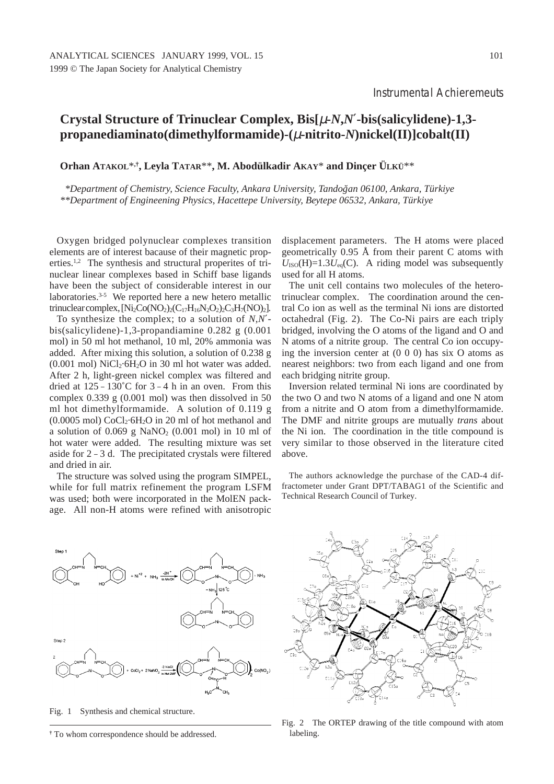## **Crystal Structure of Trinuclear Complex, Bis[**µ**-***N***,***N*′**-bis(salicylidene)-1,3 propanediaminato(dimethylformamide)-(**µ**-nitrito-***N***)nickel(II)]cobalt(II)**

**Orhan ATAKOL**\***,†, Leyla TATAR**\*\***, M. Abodülkadir AKAY**\* **and Dinçer ÜLKÜ**\*\*

*\*Department of Chemistry, Science Faculty, Ankara University, Tandog˘an 06100, Ankara, Türkiye \*\*Department of Engineening Physics, Hacettepe University, Beytepe 06532, Ankara, Türkiye*

Oxygen bridged polynuclear complexes transition elements are of interest bacause of their magnetic properties.1,2 The synthesis and structural properites of trinuclear linear complexes based in Schiff base ligands have been the subject of considerable interest in our laboratories.<sup>3-5</sup> We reported here a new hetero metallic trinuclear complex,  $[Ni_2Co(NO_2)_2(C_{17}H_{16}N_2O_2)_2C_3H_7(NO)_2]$ .

To synthesize the complex; to a solution of *N*,*N*′ bis(salicylidene)-1,3-propandiamine 0.282 g (0.001 mol) in 50 ml hot methanol, 10 ml, 20% ammonia was added. After mixing this solution, a solution of 0.238 g (0.001 mol)  $NiCl<sub>2</sub>·6H<sub>2</sub>O$  in 30 ml hot water was added. After 2 h, light-green nickel complex was filtered and dried at  $125 - 130^{\circ}$ C for  $3 - 4$  h in an oven. From this complex  $0.339$  g  $(0.001$  mol) was then dissolved in 50 ml hot dimethylformamide. A solution of 0.119 g  $(0.0005 \text{ mol}) \text{CoCl}_2 \cdot 6\text{H}_2\text{O}$  in 20 ml of hot methanol and a solution of  $0.069$  g NaNO<sub>2</sub> (0.001 mol) in 10 ml of hot water were added. The resulting mixture was set aside for 2 – 3 d. The precipitated crystals were filtered and dried in air.

The structure was solved using the program SIMPEL, while for full matrix refinement the program LSFM was used; both were incorporated in the MolEN package. All non-H atoms were refined with anisotropic

displacement parameters. The H atoms were placed geometrically 0.95 Å from their parent C atoms with  $U_{\text{ISO}}(H)=1.3U_{\text{eq}}(C)$ . A riding model was subsequently used for all H atoms.

The unit cell contains two molecules of the heterotrinuclear complex. The coordination around the central Co ion as well as the terminal Ni ions are distorted octahedral (Fig. 2). The Co-Ni pairs are each triply bridged, involving the O atoms of the ligand and O and N atoms of a nitrite group. The central Co ion occupying the inversion center at (0 0 0) has six O atoms as nearest neighbors: two from each ligand and one from each bridging nitrite group.

Inversion related terminal Ni ions are coordinated by the two O and two N atoms of a ligand and one N atom from a nitrite and O atom from a dimethylformamide. The DMF and nitrite groups are mutually *trans* about the Ni ion. The coordination in the title compound is very similar to those observed in the literature cited above.

The authors acknowledge the purchase of the CAD-4 diffractometer under Grant DPT/TABAG1 of the Scientific and Technical Research Council of Turkey.



Fig. 1 Synthesis and chemical structure.



Fig. 2 The ORTEP drawing of the title compound with atom labeling.

**<sup>†</sup>** To whom correspondence should be addressed.